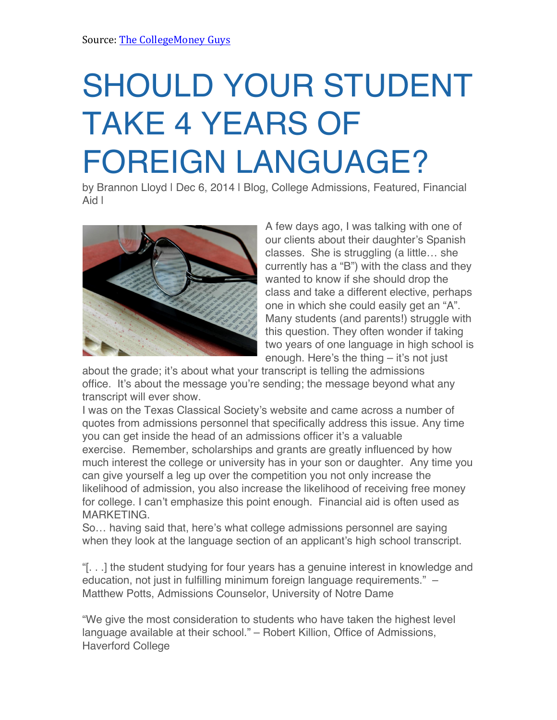## SHOULD YOUR STUDENT TAKE 4 YEARS OF FOREIGN LANGUAGE?

by Brannon Lloyd I Dec 6, 2014 | Blog, College Admissions, Featured, Financial Aid |



A few days ago, I was talking with one of our clients about their daughter's Spanish classes. She is struggling (a little… she currently has a "B") with the class and they wanted to know if she should drop the class and take a different elective, perhaps one in which she could easily get an "A". Many students (and parents!) struggle with this question. They often wonder if taking two years of one language in high school is enough. Here's the thing – it's not just

about the grade; it's about what your transcript is telling the admissions office. It's about the message you're sending; the message beyond what any transcript will ever show.

I was on the Texas Classical Society's website and came across a number of quotes from admissions personnel that specifically address this issue. Any time you can get inside the head of an admissions officer it's a valuable exercise. Remember, scholarships and grants are greatly influenced by how much interest the college or university has in your son or daughter. Any time you can give yourself a leg up over the competition you not only increase the likelihood of admission, you also increase the likelihood of receiving free money for college. I can't emphasize this point enough. Financial aid is often used as MARKETING.

So… having said that, here's what college admissions personnel are saying when they look at the language section of an applicant's high school transcript.

"[. . .] the student studying for four years has a genuine interest in knowledge and education, not just in fulfilling minimum foreign language requirements." – Matthew Potts, Admissions Counselor, University of Notre Dame

"We give the most consideration to students who have taken the highest level language available at their school." – Robert Killion, Office of Admissions, Haverford College